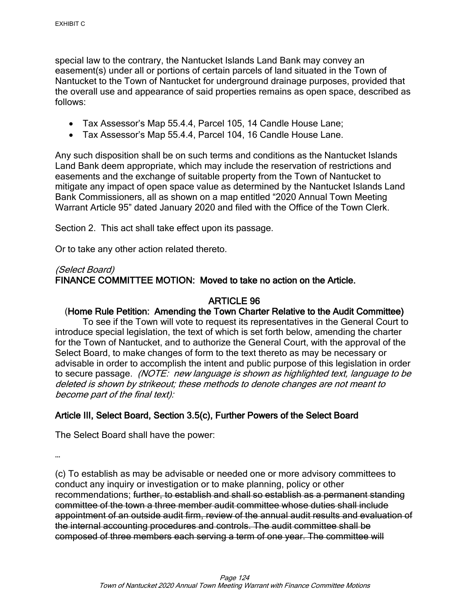special law to the contrary, the Nantucket Islands Land Bank may convey an easement(s) under all or portions of certain parcels of land situated in the Town of Nantucket to the Town of Nantucket for underground drainage purposes, provided that the overall use and appearance of said properties remains as open space, described as follows:

- Tax Assessor's Map 55.4.4, Parcel 105, 14 Candle House Lane;
- Tax Assessor's Map 55.4.4, Parcel 104, 16 Candle House Lane.

Any such disposition shall be on such terms and conditions as the Nantucket Islands Land Bank deem appropriate, which may include the reservation of restrictions and easements and the exchange of suitable property from the Town of Nantucket to mitigate any impact of open space value as determined by the Nantucket Islands Land Bank Commissioners, all as shown on a map entitled "2020 Annual Town Meeting Warrant Article 95" dated January 2020 and filed with the Office of the Town Clerk.

Section 2. This act shall take effect upon its passage.

Or to take any other action related thereto.

#### (Select Board)

FINANCE COMMITTEE MOTION: Moved to take no action on the Article.

# ARTICLE 96

# (Home Rule Petition: Amending the Town Charter Relative to the Audit Committee)

To see if the Town will vote to request its representatives in the General Court to introduce special legislation, the text of which is set forth below, amending the charter for the Town of Nantucket, and to authorize the General Court, with the approval of the Select Board, to make changes of form to the text thereto as may be necessary or advisable in order to accomplish the intent and public purpose of this legislation in order to secure passage. (NOTE: new language is shown as highlighted text, language to be deleted is shown by strikeout; these methods to denote changes are not meant to become part of the final text):

# Article III, Select Board, Section 3.5(c), Further Powers of the Select Board

The Select Board shall have the power:

…

(c) To establish as may be advisable or needed one or more advisory committees to conduct any inquiry or investigation or to make planning, policy or other recommendations; further, to establish and shall so establish as a permanent standing committee of the town a three member audit committee whose duties shall include appointment of an outside audit firm, review of the annual audit results and evaluation of the internal accounting procedures and controls. The audit committee shall be composed of three members each serving a term of one year. The committee will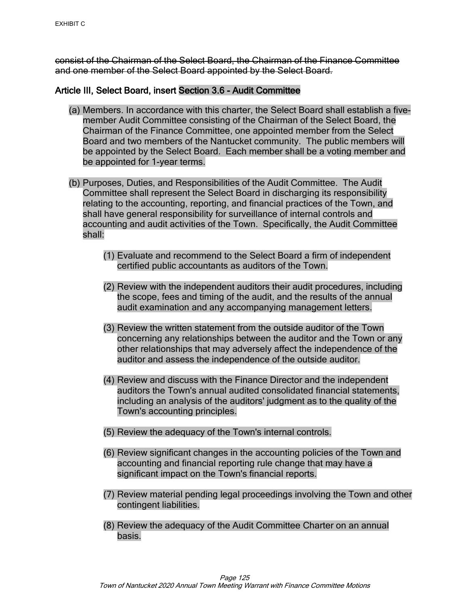consist of the Chairman of the Select Board, the Chairman of the Finance Committee and one member of the Select Board appointed by the Select Board.

# Article III, Select Board, insert Section 3.6 - Audit Committee

- (a) Members. In accordance with this charter, the Select Board shall establish a fivemember Audit Committee consisting of the Chairman of the Select Board, the Chairman of the Finance Committee, one appointed member from the Select Board and two members of the Nantucket community. The public members will be appointed by the Select Board. Each member shall be a voting member and be appointed for 1-year terms.
- (b) Purposes, Duties, and Responsibilities of the Audit Committee. The Audit Committee shall represent the Select Board in discharging its responsibility relating to the accounting, reporting, and financial practices of the Town, and shall have general responsibility for surveillance of internal controls and accounting and audit activities of the Town. Specifically, the Audit Committee shall:
	- (1) Evaluate and recommend to the Select Board a firm of independent certified public accountants as auditors of the Town.
	- (2) Review with the independent auditors their audit procedures, including the scope, fees and timing of the audit, and the results of the annual audit examination and any accompanying management letters.
	- (3) Review the written statement from the outside auditor of the Town concerning any relationships between the auditor and the Town or any other relationships that may adversely affect the independence of the auditor and assess the independence of the outside auditor.
	- (4) Review and discuss with the Finance Director and the independent auditors the Town's annual audited consolidated financial statements, including an analysis of the auditors' judgment as to the quality of the Town's accounting principles.
	- (5) Review the adequacy of the Town's internal controls.
	- (6) Review significant changes in the accounting policies of the Town and accounting and financial reporting rule change that may have a significant impact on the Town's financial reports.
	- (7) Review material pending legal proceedings involving the Town and other contingent liabilities.
	- (8) Review the adequacy of the Audit Committee Charter on an annual basis.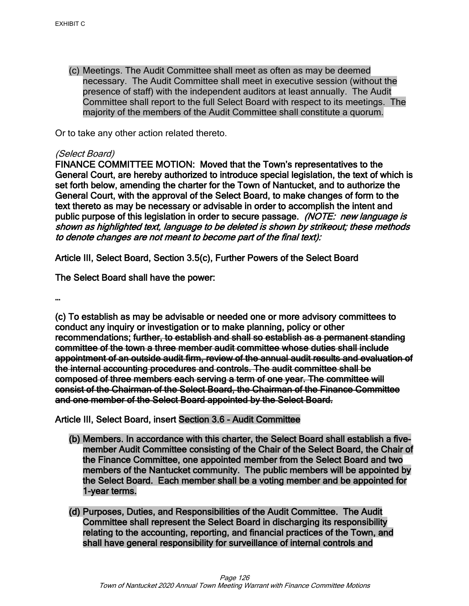(c) Meetings. The Audit Committee shall meet as often as may be deemed necessary. The Audit Committee shall meet in executive session (without the presence of staff) with the independent auditors at least annually. The Audit Committee shall report to the full Select Board with respect to its meetings. The majority of the members of the Audit Committee shall constitute a quorum.

Or to take any other action related thereto.

#### (Select Board)

FINANCE COMMITTEE MOTION: Moved that the Town's representatives to the General Court, are hereby authorized to introduce special legislation, the text of which is set forth below, amending the charter for the Town of Nantucket, and to authorize the General Court, with the approval of the Select Board, to make changes of form to the text thereto as may be necessary or advisable in order to accomplish the intent and public purpose of this legislation in order to secure passage. (NOTE: new language is shown as highlighted text, language to be deleted is shown by strikeout; these methods to denote changes are not meant to become part of the final text):

Article III, Select Board, Section 3.5(c), Further Powers of the Select Board

The Select Board shall have the power:

…

(c) To establish as may be advisable or needed one or more advisory committees to conduct any inquiry or investigation or to make planning, policy or other recommendations; further, to establish and shall so establish as a permanent standing committee of the town a three member audit committee whose duties shall include appointment of an outside audit firm, review of the annual audit results and evaluation of the internal accounting procedures and controls. The audit committee shall be composed of three members each serving a term of one year. The committee will consist of the Chairman of the Select Board, the Chairman of the Finance Committee and one member of the Select Board appointed by the Select Board.

#### Article III, Select Board, insert Section 3.6 - Audit Committee

- (b) Members. In accordance with this charter, the Select Board shall establish a fivemember Audit Committee consisting of the Chair of the Select Board, the Chair of the Finance Committee, one appointed member from the Select Board and two members of the Nantucket community. The public members will be appointed by the Select Board. Each member shall be a voting member and be appointed for 1-year terms.
- (d) Purposes, Duties, and Responsibilities of the Audit Committee. The Audit Committee shall represent the Select Board in discharging its responsibility relating to the accounting, reporting, and financial practices of the Town, and shall have general responsibility for surveillance of internal controls and